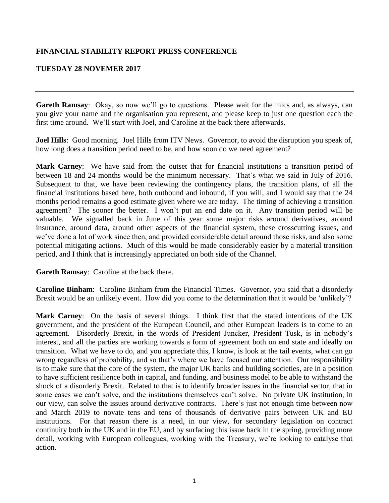## **FINANCIAL STABILITY REPORT PRESS CONFERENCE**

## **TUESDAY 28 NOVEMER 2017**

**Gareth Ramsay**: Okay, so now we'll go to questions. Please wait for the mics and, as always, can you give your name and the organisation you represent, and please keep to just one question each the first time around. We'll start with Joel, and Caroline at the back there afterwards.

**Joel Hills**: Good morning. Joel Hills from ITV News. Governor, to avoid the disruption you speak of, how long does a transition period need to be, and how soon do we need agreement?

**Mark Carney**: We have said from the outset that for financial institutions a transition period of between 18 and 24 months would be the minimum necessary. That's what we said in July of 2016. Subsequent to that, we have been reviewing the contingency plans, the transition plans, of all the financial institutions based here, both outbound and inbound, if you will, and I would say that the 24 months period remains a good estimate given where we are today. The timing of achieving a transition agreement? The sooner the better. I won't put an end date on it. Any transition period will be valuable. We signalled back in June of this year some major risks around derivatives, around insurance, around data, around other aspects of the financial system, these crosscutting issues, and we've done a lot of work since then, and provided considerable detail around those risks, and also some potential mitigating actions. Much of this would be made considerably easier by a material transition period, and I think that is increasingly appreciated on both side of the Channel.

**Gareth Ramsay**: Caroline at the back there.

**Caroline Binham**: Caroline Binham from the Financial Times. Governor, you said that a disorderly Brexit would be an unlikely event. How did you come to the determination that it would be 'unlikely'?

**Mark Carney**: On the basis of several things. I think first that the stated intentions of the UK government, and the president of the European Council, and other European leaders is to come to an agreement. Disorderly Brexit, in the words of President Juncker, President Tusk, is in nobody's interest, and all the parties are working towards a form of agreement both on end state and ideally on transition. What we have to do, and you appreciate this, I know, is look at the tail events, what can go wrong regardless of probability, and so that's where we have focused our attention. Our responsibility is to make sure that the core of the system, the major UK banks and building societies, are in a position to have sufficient resilience both in capital, and funding, and business model to be able to withstand the shock of a disorderly Brexit. Related to that is to identify broader issues in the financial sector, that in some cases we can't solve, and the institutions themselves can't solve. No private UK institution, in our view, can solve the issues around derivative contracts. There's just not enough time between now and March 2019 to novate tens and tens of thousands of derivative pairs between UK and EU institutions. For that reason there is a need, in our view, for secondary legislation on contract continuity both in the UK and in the EU, and by surfacing this issue back in the spring, providing more detail, working with European colleagues, working with the Treasury, we're looking to catalyse that action.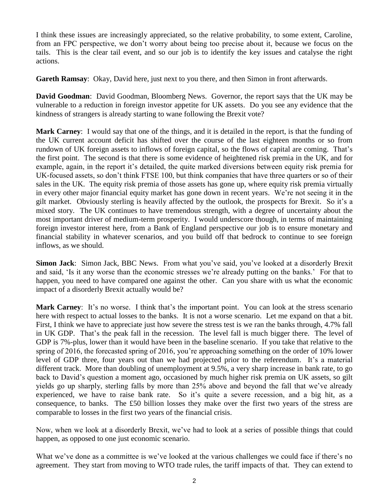I think these issues are increasingly appreciated, so the relative probability, to some extent, Caroline, from an FPC perspective, we don't worry about being too precise about it, because we focus on the tails. This is the clear tail event, and so our job is to identify the key issues and catalyse the right actions.

**Gareth Ramsay**: Okay, David here, just next to you there, and then Simon in front afterwards.

**David Goodman**: David Goodman, Bloomberg News. Governor, the report says that the UK may be vulnerable to a reduction in foreign investor appetite for UK assets. Do you see any evidence that the kindness of strangers is already starting to wane following the Brexit vote?

**Mark Carney**: I would say that one of the things, and it is detailed in the report, is that the funding of the UK current account deficit has shifted over the course of the last eighteen months or so from rundown of UK foreign assets to inflows of foreign capital, so the flows of capital are coming. That's the first point. The second is that there is some evidence of heightened risk premia in the UK, and for example, again, in the report it's detailed, the quite marked diversions between equity risk premia for UK-focused assets, so don't think FTSE 100, but think companies that have three quarters or so of their sales in the UK. The equity risk premia of those assets has gone up, where equity risk premia virtually in every other major financial equity market has gone down in recent years. We're not seeing it in the gilt market. Obviously sterling is heavily affected by the outlook, the prospects for Brexit. So it's a mixed story. The UK continues to have tremendous strength, with a degree of uncertainty about the most important driver of medium-term prosperity. I would underscore though, in terms of maintaining foreign investor interest here, from a Bank of England perspective our job is to ensure monetary and financial stability in whatever scenarios, and you build off that bedrock to continue to see foreign inflows, as we should.

**Simon Jack**: Simon Jack, BBC News. From what you've said, you've looked at a disorderly Brexit and said, 'Is it any worse than the economic stresses we're already putting on the banks.' For that to happen, you need to have compared one against the other. Can you share with us what the economic impact of a disorderly Brexit actually would be?

**Mark Carney**: It's no worse. I think that's the important point. You can look at the stress scenario here with respect to actual losses to the banks. It is not a worse scenario. Let me expand on that a bit. First, I think we have to appreciate just how severe the stress test is we ran the banks through, 4.7% fall in UK GDP. That's the peak fall in the recession. The level fall is much bigger there. The level of GDP is 7%-plus, lower than it would have been in the baseline scenario. If you take that relative to the spring of 2016, the forecasted spring of 2016, you're approaching something on the order of 10% lower level of GDP three, four years out than we had projected prior to the referendum. It's a material different track. More than doubling of unemployment at 9.5%, a very sharp increase in bank rate, to go back to David's question a moment ago, occasioned by much higher risk premia on UK assets, so gilt yields go up sharply, sterling falls by more than 25% above and beyond the fall that we've already experienced, we have to raise bank rate. So it's quite a severe recession, and a big hit, as a consequence, to banks. The £50 billion losses they make over the first two years of the stress are comparable to losses in the first two years of the financial crisis.

Now, when we look at a disorderly Brexit, we've had to look at a series of possible things that could happen, as opposed to one just economic scenario.

What we've done as a committee is we've looked at the various challenges we could face if there's no agreement. They start from moving to WTO trade rules, the tariff impacts of that. They can extend to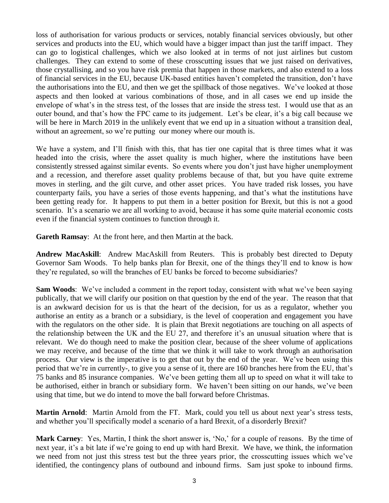loss of authorisation for various products or services, notably financial services obviously, but other services and products into the EU, which would have a bigger impact than just the tariff impact. They can go to logistical challenges, which we also looked at in terms of not just airlines but custom challenges. They can extend to some of these crosscutting issues that we just raised on derivatives, those crystallising, and so you have risk premia that happen in those markets, and also extend to a loss of financial services in the EU, because UK-based entities haven't completed the transition, don't have the authorisations into the EU, and then we get the spillback of those negatives. We've looked at those aspects and then looked at various combinations of those, and in all cases we end up inside the envelope of what's in the stress test, of the losses that are inside the stress test. I would use that as an outer bound, and that's how the FPC came to its judgement. Let's be clear, it's a big call because we will be here in March 2019 in the unlikely event that we end up in a situation without a transition deal, without an agreement, so we're putting our money where our mouth is.

We have a system, and I'll finish with this, that has tier one capital that is three times what it was headed into the crisis, where the asset quality is much higher, where the institutions have been consistently stressed against similar events. So events where you don't just have higher unemployment and a recession, and therefore asset quality problems because of that, but you have quite extreme moves in sterling, and the gilt curve, and other asset prices. You have traded risk losses, you have counterparty fails, you have a series of those events happening, and that's what the institutions have been getting ready for. It happens to put them in a better position for Brexit, but this is not a good scenario. It's a scenario we are all working to avoid, because it has some quite material economic costs even if the financial system continues to function through it.

**Gareth Ramsay**: At the front here, and then Martin at the back.

**Andrew MacAskill**: Andrew MacAskill from Reuters. This is probably best directed to Deputy Governor Sam Woods. To help banks plan for Brexit, one of the things they'll end to know is how they're regulated, so will the branches of EU banks be forced to become subsidiaries?

**Sam Woods**: We've included a comment in the report today, consistent with what we've been saying publically, that we will clarify our position on that question by the end of the year. The reason that that is an awkward decision for us is that the heart of the decision, for us as a regulator, whether you authorise an entity as a branch or a subsidiary, is the level of cooperation and engagement you have with the regulators on the other side. It is plain that Brexit negotiations are touching on all aspects of the relationship between the UK and the EU 27, and therefore it's an unusual situation where that is relevant. We do though need to make the position clear, because of the sheer volume of applications we may receive, and because of the time that we think it will take to work through an authorisation process. Our view is the imperative is to get that out by the end of the year. We've been using this period that we're in currently-, to give you a sense of it, there are 160 branches here from the EU, that's 75 banks and 85 insurance companies. We've been getting them all up to speed on what it will take to be authorised, either in branch or subsidiary form. We haven't been sitting on our hands, we've been using that time, but we do intend to move the ball forward before Christmas.

**Martin Arnold**: Martin Arnold from the FT. Mark, could you tell us about next year's stress tests, and whether you'll specifically model a scenario of a hard Brexit, of a disorderly Brexit?

**Mark Carney**: Yes, Martin, I think the short answer is, 'No,' for a couple of reasons. By the time of next year, it's a bit late if we're going to end up with hard Brexit. We have, we think, the information we need from not just this stress test but the three years prior, the crosscutting issues which we've identified, the contingency plans of outbound and inbound firms. Sam just spoke to inbound firms.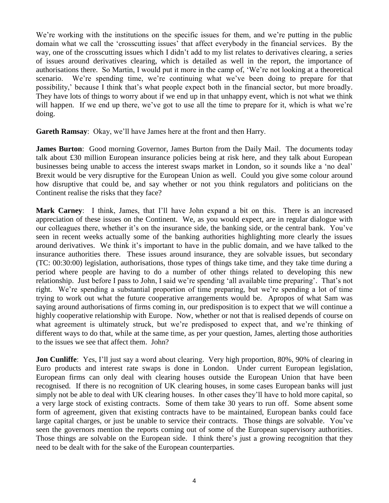We're working with the institutions on the specific issues for them, and we're putting in the public domain what we call the 'crosscutting issues' that affect everybody in the financial services. By the way, one of the crosscutting issues which I didn't add to my list relates to derivatives clearing, a series of issues around derivatives clearing, which is detailed as well in the report, the importance of authorisations there. So Martin, I would put it more in the camp of, 'We're not looking at a theoretical scenario. We're spending time, we're continuing what we've been doing to prepare for that possibility,' because I think that's what people expect both in the financial sector, but more broadly. They have lots of things to worry about if we end up in that unhappy event, which is not what we think will happen. If we end up there, we've got to use all the time to prepare for it, which is what we're doing.

**Gareth Ramsay**: Okay, we'll have James here at the front and then Harry.

**James Burton**: Good morning Governor, James Burton from the Daily Mail. The documents today talk about £30 million European insurance policies being at risk here, and they talk about European businesses being unable to access the interest swaps market in London, so it sounds like a 'no deal' Brexit would be very disruptive for the European Union as well. Could you give some colour around how disruptive that could be, and say whether or not you think regulators and politicians on the Continent realise the risks that they face?

**Mark Carney**: I think, James, that I'll have John expand a bit on this. There is an increased appreciation of these issues on the Continent. We, as you would expect, are in regular dialogue with our colleagues there, whether it's on the insurance side, the banking side, or the central bank. You've seen in recent weeks actually some of the banking authorities highlighting more clearly the issues around derivatives. We think it's important to have in the public domain, and we have talked to the insurance authorities there. These issues around insurance, they are solvable issues, but secondary (TC: 00:30:00) legislation, authorisations, those types of things take time, and they take time during a period where people are having to do a number of other things related to developing this new relationship. Just before I pass to John, I said we're spending 'all available time preparing'. That's not right. We're spending a substantial proportion of time preparing, but we're spending a lot of time trying to work out what the future cooperative arrangements would be. Apropos of what Sam was saying around authorisations of firms coming in, our predisposition is to expect that we will continue a highly cooperative relationship with Europe. Now, whether or not that is realised depends of course on what agreement is ultimately struck, but we're predisposed to expect that, and we're thinking of different ways to do that, while at the same time, as per your question, James, alerting those authorities to the issues we see that affect them. John?

**Jon Cunliffe**: Yes, I'll just say a word about clearing. Very high proportion, 80%, 90% of clearing in Euro products and interest rate swaps is done in London. Under current European legislation, European firms can only deal with clearing houses outside the European Union that have been recognised. If there is no recognition of UK clearing houses, in some cases European banks will just simply not be able to deal with UK clearing houses. In other cases they'll have to hold more capital, so a very large stock of existing contracts. Some of them take 30 years to run off. Some absent some form of agreement, given that existing contracts have to be maintained, European banks could face large capital charges, or just be unable to service their contracts. Those things are solvable. You've seen the governors mention the reports coming out of some of the European supervisory authorities. Those things are solvable on the European side. I think there's just a growing recognition that they need to be dealt with for the sake of the European counterparties.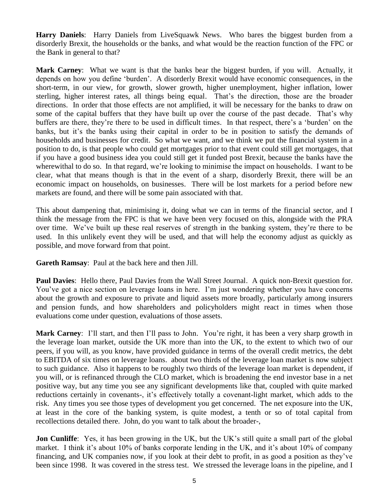**Harry Daniels**: Harry Daniels from LiveSquawk News. Who bares the biggest burden from a disorderly Brexit, the households or the banks, and what would be the reaction function of the FPC or the Bank in general to that?

**Mark Carney**: What we want is that the banks bear the biggest burden, if you will. Actually, it depends on how you define 'burden'. A disorderly Brexit would have economic consequences, in the short-term, in our view, for growth, slower growth, higher unemployment, higher inflation, lower sterling, higher interest rates, all things being equal. That's the direction, those are the broader directions. In order that those effects are not amplified, it will be necessary for the banks to draw on some of the capital buffers that they have built up over the course of the past decade. That's why buffers are there, they're there to be used in difficult times. In that respect, there's a 'burden' on the banks, but it's the banks using their capital in order to be in position to satisfy the demands of households and businesses for credit. So what we want, and we think we put the financial system in a position to do, is that people who could get mortgages prior to that event could still get mortgages, that if you have a good business idea you could still get it funded post Brexit, because the banks have the wherewithal to do so. In that regard, we're looking to minimise the impact on households. I want to be clear, what that means though is that in the event of a sharp, disorderly Brexit, there will be an economic impact on households, on businesses. There will be lost markets for a period before new markets are found, and there will be some pain associated with that.

This about dampening that, minimising it, doing what we can in terms of the financial sector, and I think the message from the FPC is that we have been very focused on this, alongside with the PRA over time. We've built up these real reserves of strength in the banking system, they're there to be used. In this unlikely event they will be used, and that will help the economy adjust as quickly as possible, and move forward from that point.

**Gareth Ramsay**: Paul at the back here and then Jill.

**Paul Davies**: Hello there, Paul Davies from the Wall Street Journal. A quick non-Brexit question for. You've got a nice section on leverage loans in here. I'm just wondering whether you have concerns about the growth and exposure to private and liquid assets more broadly, particularly among insurers and pension funds, and how shareholders and policyholders might react in times when those evaluations come under question, evaluations of those assets.

**Mark Carney**: I'll start, and then I'll pass to John. You're right, it has been a very sharp growth in the leverage loan market, outside the UK more than into the UK, to the extent to which two of our peers, if you will, as you know, have provided guidance in terms of the overall credit metrics, the debt to EBITDA of six times on leverage loans. about two thirds of the leverage loan market is now subject to such guidance. Also it happens to be roughly two thirds of the leverage loan market is dependent, if you will, or is refinanced through the CLO market, which is broadening the end investor base in a net positive way, but any time you see any significant developments like that, coupled with quite marked reductions certainly in covenants-, it's effectively totally a covenant-light market, which adds to the risk. Any times you see those types of development you get concerned. The net exposure into the UK, at least in the core of the banking system, is quite modest, a tenth or so of total capital from recollections detailed there. John, do you want to talk about the broader-,

**Jon Cunliffe**: Yes, it has been growing in the UK, but the UK's still quite a small part of the global market. I think it's about 10% of banks corporate lending in the UK, and it's about 10% of company financing, and UK companies now, if you look at their debt to profit, in as good a position as they've been since 1998. It was covered in the stress test. We stressed the leverage loans in the pipeline, and I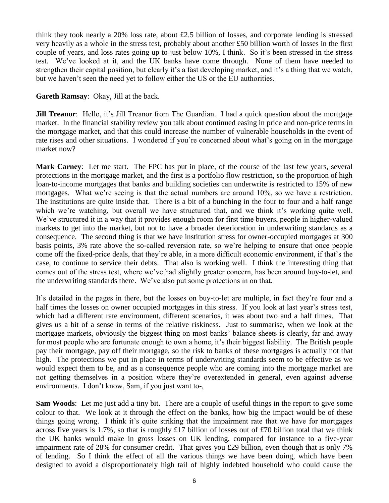think they took nearly a 20% loss rate, about £2.5 billion of losses, and corporate lending is stressed very heavily as a whole in the stress test, probably about another £50 billion worth of losses in the first couple of years, and loss rates going up to just below 10%, I think. So it's been stressed in the stress test. We've looked at it, and the UK banks have come through. None of them have needed to strengthen their capital position, but clearly it's a fast developing market, and it's a thing that we watch, but we haven't seen the need yet to follow either the US or the EU authorities.

**Gareth Ramsay**: Okay, Jill at the back.

**Jill Treanor**: Hello, it's Jill Treanor from The Guardian. I had a quick question about the mortgage market. In the financial stability review you talk about continued easing in price and non-price terms in the mortgage market, and that this could increase the number of vulnerable households in the event of rate rises and other situations. I wondered if you're concerned about what's going on in the mortgage market now?

**Mark Carney**: Let me start. The FPC has put in place, of the course of the last few years, several protections in the mortgage market, and the first is a portfolio flow restriction, so the proportion of high loan-to-income mortgages that banks and building societies can underwrite is restricted to 15% of new mortgages. What we're seeing is that the actual numbers are around 10%, so we have a restriction. The institutions are quite inside that. There is a bit of a bunching in the four to four and a half range which we're watching, but overall we have structured that, and we think it's working quite well. We've structured it in a way that it provides enough room for first time buyers, people in higher-valued markets to get into the market, but not to have a broader deterioration in underwriting standards as a consequence. The second thing is that we have institution stress for owner-occupied mortgages at 300 basis points, 3% rate above the so-called reversion rate, so we're helping to ensure that once people come off the fixed-price deals, that they're able, in a more difficult economic environment, if that's the case, to continue to service their debts. That also is working well. I think the interesting thing that comes out of the stress test, where we've had slightly greater concern, has been around buy-to-let, and the underwriting standards there. We've also put some protections in on that.

It's detailed in the pages in there, but the losses on buy-to-let are multiple, in fact they're four and a half times the losses on owner occupied mortgages in this stress. If you look at last year's stress test, which had a different rate environment, different scenarios, it was about two and a half times. That gives us a bit of a sense in terms of the relative riskiness. Just to summarise, when we look at the mortgage markets, obviously the biggest thing on most banks' balance sheets is clearly, far and away for most people who are fortunate enough to own a home, it's their biggest liability. The British people pay their mortgage, pay off their mortgage, so the risk to banks of these mortgages is actually not that high. The protections we put in place in terms of underwriting standards seem to be effective as we would expect them to be, and as a consequence people who are coming into the mortgage market are not getting themselves in a position where they're overextended in general, even against adverse environments. I don't know, Sam, if you just want to-,

**Sam Woods**: Let me just add a tiny bit. There are a couple of useful things in the report to give some colour to that. We look at it through the effect on the banks, how big the impact would be of these things going wrong. I think it's quite striking that the impairment rate that we have for mortgages across five years is 1.7%, so that is roughly £17 billion of losses out of £70 billion total that we think the UK banks would make in gross losses on UK lending, compared for instance to a five-year impairment rate of 28% for consumer credit. That gives you £29 billion, even though that is only 7% of lending. So I think the effect of all the various things we have been doing, which have been designed to avoid a disproportionately high tail of highly indebted household who could cause the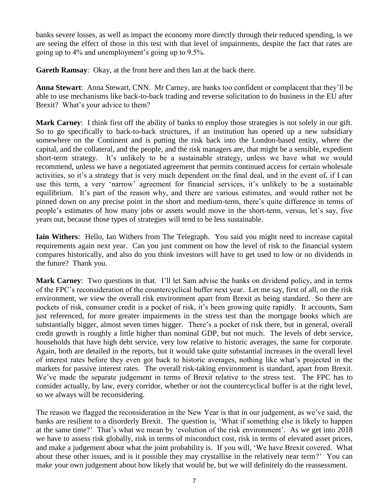banks severe losses, as well as impact the economy more directly through their reduced spending, is we are seeing the effect of those in this test with that level of impairments, despite the fact that rates are going up to 4% and unemployment's going up to 9.5%.

**Gareth Ramsay**: Okay, at the front here and then Ian at the back there.

**Anna Stewart**: Anna Stewart, CNN. Mr Carney, are banks too confident or complacent that they'll be able to use mechanisms like back-to-back trading and reverse solicitation to do business in the EU after Brexit? What's your advice to them?

**Mark Carney**: I think first off the ability of banks to employ those strategies is not solely in our gift. So to go specifically to back-to-back structures, if an institution has opened up a new subsidiary somewhere on the Continent and is putting the risk back into the London-based entity, where the capital, and the collateral, and the people, and the risk managers are, that might be a sensible, expedient short-term strategy. It's unlikely to be a sustainable strategy, unless we have what we would recommend, unless we have a negotiated agreement that permits continued access for certain wholesale activities, so it's a strategy that is very much dependent on the final deal, and in the event of, if I can use this term, a very 'narrow' agreement for financial services, it's unlikely to be a sustainable equilibrium. It's part of the reason why, and there are various estimates, and would rather not be pinned down on any precise point in the short and medium-term, there's quite difference in terms of people's estimates of how many jobs or assets would move in the short-term, versus, let's say, five years out, because those types of strategies will tend to be less sustainable.

**Iain Withers**: Hello, Ian Withers from The Telegraph. You said you might need to increase capital requirements again next year. Can you just comment on how the level of risk to the financial system compares historically, and also do you think investors will have to get used to low or no dividends in the future? Thank you.

**Mark Carney**: Two questions in that. I'll let Sam advise the banks on dividend policy, and in terms of the FPC's reconsideration of the countercyclical buffer next year. Let me say, first of all, on the risk environment, we view the overall risk environment apart from Brexit as being standard. So there are pockets of risk, consumer credit is a pocket of risk, it's been growing quite rapidly. It accounts, Sam just referenced, for more greater impairments in the stress test than the mortgage books which are substantially bigger, almost seven times bigger. There's a pocket of risk there, but in general, overall credit growth is roughly a little higher than nominal GDP, but not much. The levels of debt service, households that have high debt service, very low relative to historic averages, the same for corporate. Again, both are detailed in the reports, but it would take quite substantial increases in the overall level of interest rates before they even got back to historic averages, nothing like what's projected in the markets for passive interest rates. The overall risk-taking environment is standard, apart from Brexit. We've made the separate judgement in terms of Brexit relative to the stress test. The FPC has to consider actually, by law, every corridor, whether or not the countercyclical buffer is at the right level, so we always will be reconsidering.

The reason we flagged the reconsideration in the New Year is that in our judgement, as we've said, the banks are resilient to a disorderly Brexit. The question is, 'What if something else is likely to happen at the same time?' That's what we mean by 'evolution of the risk environment'. As we get into 2018 we have to assess risk globally, risk in terms of misconduct cost, risk in terms of elevated asset prices, and make a judgement about what the joint probability is. If you will, 'We have Brexit covered. What about these other issues, and is it possible they may crystallise in the relatively near term?' You can make your own judgement about how likely that would be, but we will definitely do the reassessment.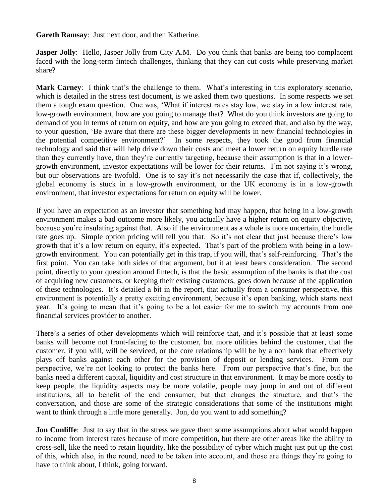**Gareth Ramsay**: Just next door, and then Katherine.

**Jasper Jolly**: Hello, Jasper Jolly from City A.M. Do you think that banks are being too complacent faced with the long-term fintech challenges, thinking that they can cut costs while preserving market share?

**Mark Carney**: I think that's the challenge to them. What's interesting in this exploratory scenario, which is detailed in the stress test document, is we asked them two questions. In some respects we set them a tough exam question. One was, 'What if interest rates stay low, we stay in a low interest rate, low-growth environment, how are you going to manage that? What do you think investors are going to demand of you in terms of return on equity, and how are you going to exceed that, and also by the way, to your question, 'Be aware that there are these bigger developments in new financial technologies in the potential competitive environment?' In some respects, they took the good from financial technology and said that will help drive down their costs and meet a lower return on equity hurdle rate than they currently have, than they're currently targeting, because their assumption is that in a lowergrowth environment, investor expectations will be lower for their returns. I'm not saying it's wrong, but our observations are twofold. One is to say it's not necessarily the case that if, collectively, the global economy is stuck in a low-growth environment, or the UK economy is in a low-growth environment, that investor expectations for return on equity will be lower.

If you have an expectation as an investor that something bad may happen, that being in a low-growth environment makes a bad outcome more likely, you actually have a higher return on equity objective, because you're insulating against that. Also if the environment as a whole is more uncertain, the hurdle rate goes up. Simple option pricing will tell you that. So it's not clear that just because there's low growth that it's a low return on equity, it's expected. That's part of the problem with being in a lowgrowth environment. You can potentially get in this trap, if you will, that's self-reinforcing. That's the first point. You can take both sides of that argument, but it at least bears consideration. The second point, directly to your question around fintech, is that the basic assumption of the banks is that the cost of acquiring new customers, or keeping their existing customers, goes down because of the application of these technologies. It's detailed a bit in the report, that actually from a consumer perspective, this environment is potentially a pretty exciting environment, because it's open banking, which starts next year. It's going to mean that it's going to be a lot easier for me to switch my accounts from one financial services provider to another.

There's a series of other developments which will reinforce that, and it's possible that at least some banks will become not front-facing to the customer, but more utilities behind the customer, that the customer, if you will, will be serviced, or the core relationship will be by a non bank that effectively plays off banks against each other for the provision of deposit or lending services. From our perspective, we're not looking to protect the banks here. From our perspective that's fine, but the banks need a different capital, liquidity and cost structure in that environment. It may be more costly to keep people, the liquidity aspects may be more volatile, people may jump in and out of different institutions, all to benefit of the end consumer, but that changes the structure, and that's the conversation, and those are some of the strategic considerations that some of the institutions might want to think through a little more generally. Jon, do you want to add something?

**Jon Cunliffe**: Just to say that in the stress we gave them some assumptions about what would happen to income from interest rates because of more competition, but there are other areas like the ability to cross-sell, like the need to retain liquidity, like the possibility of cyber which might just put up the cost of this, which also, in the round, need to be taken into account, and those are things they're going to have to think about, I think, going forward.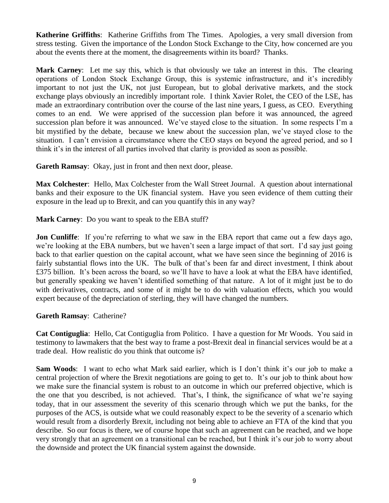**Katherine Griffiths**: Katherine Griffiths from The Times. Apologies, a very small diversion from stress testing. Given the importance of the London Stock Exchange to the City, how concerned are you about the events there at the moment, the disagreements within its board? Thanks.

**Mark Carney**: Let me say this, which is that obviously we take an interest in this. The clearing operations of London Stock Exchange Group, this is systemic infrastructure, and it's incredibly important to not just the UK, not just European, but to global derivative markets, and the stock exchange plays obviously an incredibly important role. I think Xavier Rolet, the CEO of the LSE, has made an extraordinary contribution over the course of the last nine years, I guess, as CEO. Everything comes to an end. We were apprised of the succession plan before it was announced, the agreed succession plan before it was announced. We've stayed close to the situation. In some respects I'm a bit mystified by the debate, because we knew about the succession plan, we've stayed close to the situation. I can't envision a circumstance where the CEO stays on beyond the agreed period, and so I think it's in the interest of all parties involved that clarity is provided as soon as possible.

**Gareth Ramsay**: Okay, just in front and then next door, please.

**Max Colchester**: Hello, Max Colchester from the Wall Street Journal. A question about international banks and their exposure to the UK financial system. Have you seen evidence of them cutting their exposure in the lead up to Brexit, and can you quantify this in any way?

**Mark Carney**: Do you want to speak to the EBA stuff?

**Jon Cunliffe**: If you're referring to what we saw in the EBA report that came out a few days ago, we're looking at the EBA numbers, but we haven't seen a large impact of that sort. I'd say just going back to that earlier question on the capital account, what we have seen since the beginning of 2016 is fairly substantial flows into the UK. The bulk of that's been far and direct investment, I think about £375 billion. It's been across the board, so we'll have to have a look at what the EBA have identified, but generally speaking we haven't identified something of that nature. A lot of it might just be to do with derivatives, contracts, and some of it might be to do with valuation effects, which you would expert because of the depreciation of sterling, they will have changed the numbers.

**Gareth Ramsay**: Catherine?

**Cat Contiguglia**: Hello, Cat Contiguglia from Politico. I have a question for Mr Woods. You said in testimony to lawmakers that the best way to frame a post-Brexit deal in financial services would be at a trade deal. How realistic do you think that outcome is?

**Sam Woods**: I want to echo what Mark said earlier, which is I don't think it's our job to make a central projection of where the Brexit negotiations are going to get to. It's our job to think about how we make sure the financial system is robust to an outcome in which our preferred objective, which is the one that you described, is not achieved. That's, I think, the significance of what we're saying today, that in our assessment the severity of this scenario through which we put the banks, for the purposes of the ACS, is outside what we could reasonably expect to be the severity of a scenario which would result from a disorderly Brexit, including not being able to achieve an FTA of the kind that you describe. So our focus is there, we of course hope that such an agreement can be reached, and we hope very strongly that an agreement on a transitional can be reached, but I think it's our job to worry about the downside and protect the UK financial system against the downside.